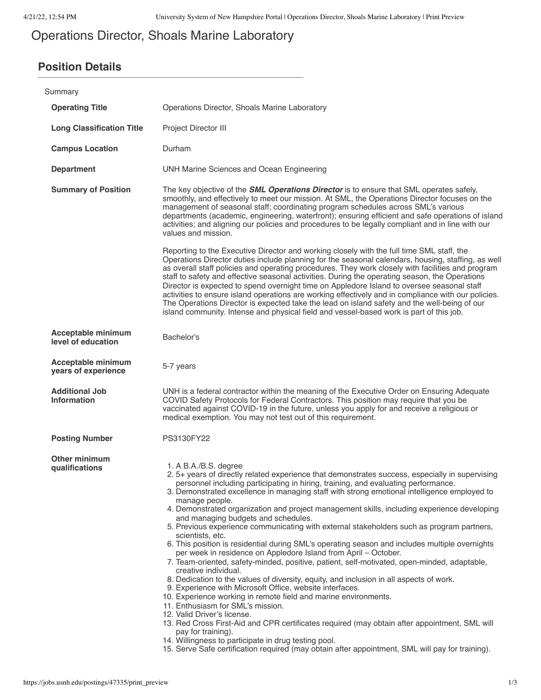# Operations Director, Shoals Marine Laboratory

## **Position Details**

| Summary                                          |                                                                                                                                                                                                                                                                                                                                                                                                                                                                                                                                                                                                                                                                                                                                                                                                                                                                                                                                                                                                                                                                                                                                                                                                                                                                                                                                                                                                                                                                     |
|--------------------------------------------------|---------------------------------------------------------------------------------------------------------------------------------------------------------------------------------------------------------------------------------------------------------------------------------------------------------------------------------------------------------------------------------------------------------------------------------------------------------------------------------------------------------------------------------------------------------------------------------------------------------------------------------------------------------------------------------------------------------------------------------------------------------------------------------------------------------------------------------------------------------------------------------------------------------------------------------------------------------------------------------------------------------------------------------------------------------------------------------------------------------------------------------------------------------------------------------------------------------------------------------------------------------------------------------------------------------------------------------------------------------------------------------------------------------------------------------------------------------------------|
| <b>Operating Title</b>                           | Operations Director, Shoals Marine Laboratory                                                                                                                                                                                                                                                                                                                                                                                                                                                                                                                                                                                                                                                                                                                                                                                                                                                                                                                                                                                                                                                                                                                                                                                                                                                                                                                                                                                                                       |
| <b>Long Classification Title</b>                 | Project Director III                                                                                                                                                                                                                                                                                                                                                                                                                                                                                                                                                                                                                                                                                                                                                                                                                                                                                                                                                                                                                                                                                                                                                                                                                                                                                                                                                                                                                                                |
| <b>Campus Location</b>                           | Durham                                                                                                                                                                                                                                                                                                                                                                                                                                                                                                                                                                                                                                                                                                                                                                                                                                                                                                                                                                                                                                                                                                                                                                                                                                                                                                                                                                                                                                                              |
| <b>Department</b>                                | UNH Marine Sciences and Ocean Engineering                                                                                                                                                                                                                                                                                                                                                                                                                                                                                                                                                                                                                                                                                                                                                                                                                                                                                                                                                                                                                                                                                                                                                                                                                                                                                                                                                                                                                           |
| <b>Summary of Position</b>                       | The key objective of the <b>SML Operations Director</b> is to ensure that SML operates safely,<br>smoothly, and effectively to meet our mission. At SML, the Operations Director focuses on the<br>management of seasonal staff; coordinating program schedules across SML's various<br>departments (academic, engineering, waterfront); ensuring efficient and safe operations of island<br>activities; and aligning our policies and procedures to be legally compliant and in line with our<br>values and mission.                                                                                                                                                                                                                                                                                                                                                                                                                                                                                                                                                                                                                                                                                                                                                                                                                                                                                                                                               |
|                                                  | Reporting to the Executive Director and working closely with the full time SML staff, the<br>Operations Director duties include planning for the seasonal calendars, housing, staffing, as well<br>as overall staff policies and operating procedures. They work closely with facilities and program<br>staff to safety and effective seasonal activities. During the operating season, the Operations<br>Director is expected to spend overnight time on Appledore Island to oversee seasonal staff<br>activities to ensure island operations are working effectively and in compliance with our policies.<br>The Operations Director is expected take the lead on island safety and the well-being of our<br>island community. Intense and physical field and vessel-based work is part of this job.                                                                                                                                                                                                                                                                                                                                                                                                                                                                                                                                                                                                                                                              |
| <b>Acceptable minimum</b><br>level of education  | Bachelor's                                                                                                                                                                                                                                                                                                                                                                                                                                                                                                                                                                                                                                                                                                                                                                                                                                                                                                                                                                                                                                                                                                                                                                                                                                                                                                                                                                                                                                                          |
| <b>Acceptable minimum</b><br>years of experience | 5-7 years                                                                                                                                                                                                                                                                                                                                                                                                                                                                                                                                                                                                                                                                                                                                                                                                                                                                                                                                                                                                                                                                                                                                                                                                                                                                                                                                                                                                                                                           |
| <b>Additional Job</b><br><b>Information</b>      | UNH is a federal contractor within the meaning of the Executive Order on Ensuring Adequate<br>COVID Safety Protocols for Federal Contractors. This position may require that you be<br>vaccinated against COVID-19 in the future, unless you apply for and receive a religious or<br>medical exemption. You may not test out of this requirement.                                                                                                                                                                                                                                                                                                                                                                                                                                                                                                                                                                                                                                                                                                                                                                                                                                                                                                                                                                                                                                                                                                                   |
| <b>Posting Number</b>                            | PS3130FY22                                                                                                                                                                                                                                                                                                                                                                                                                                                                                                                                                                                                                                                                                                                                                                                                                                                                                                                                                                                                                                                                                                                                                                                                                                                                                                                                                                                                                                                          |
| <b>Other minimum</b><br>qualifications           | 1. A B.A./B.S. degree<br>2. 5+ years of directly related experience that demonstrates success, especially in supervising<br>personnel including participating in hiring, training, and evaluating performance.<br>3. Demonstrated excellence in managing staff with strong emotional intelligence employed to<br>manage people.<br>4. Demonstrated organization and project management skills, including experience developing<br>and managing budgets and schedules.<br>5. Previous experience communicating with external stakeholders such as program partners,<br>scientists, etc.<br>6. This position is residential during SML's operating season and includes multiple overnights<br>per week in residence on Appledore Island from April - October.<br>7. Team-oriented, safety-minded, positive, patient, self-motivated, open-minded, adaptable,<br>creative individual.<br>8. Dedication to the values of diversity, equity, and inclusion in all aspects of work.<br>9. Experience with Microsoft Office, website interfaces.<br>10. Experience working in remote field and marine environments.<br>11. Enthusiasm for SML's mission.<br>12. Valid Driver's license.<br>13. Red Cross First-Aid and CPR certificates required (may obtain after appointment, SML will<br>pay for training).<br>14. Willingness to participate in drug testing pool.<br>15. Serve Safe certification required (may obtain after appointment, SML will pay for training). |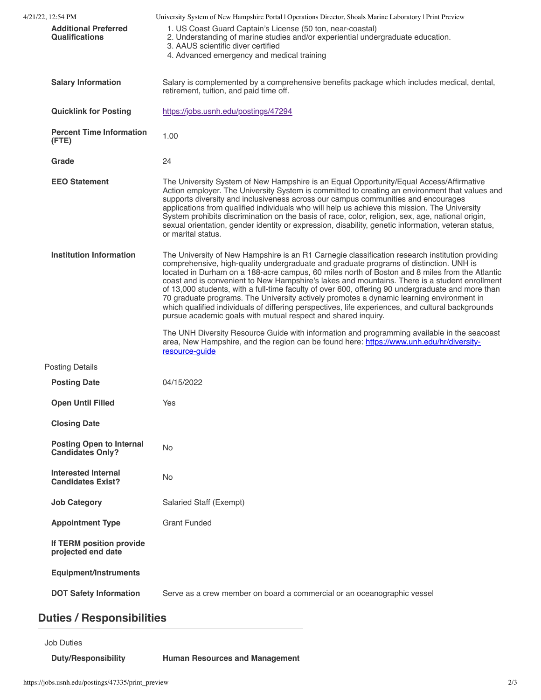| 4/21/22. 12:54 PM                                          | University System of New Hampshire Portal   Operations Director, Shoals Marine Laboratory   Print Preview                                                                                                                                                                                                                                                                                                                                                                                                                                                                                                                                                                                                                                                           |
|------------------------------------------------------------|---------------------------------------------------------------------------------------------------------------------------------------------------------------------------------------------------------------------------------------------------------------------------------------------------------------------------------------------------------------------------------------------------------------------------------------------------------------------------------------------------------------------------------------------------------------------------------------------------------------------------------------------------------------------------------------------------------------------------------------------------------------------|
| <b>Additional Preferred</b><br><b>Qualifications</b>       | 1. US Coast Guard Captain's License (50 ton, near-coastal)<br>2. Understanding of marine studies and/or experiential undergraduate education.<br>3. AAUS scientific diver certified<br>4. Advanced emergency and medical training                                                                                                                                                                                                                                                                                                                                                                                                                                                                                                                                   |
| <b>Salary Information</b>                                  | Salary is complemented by a comprehensive benefits package which includes medical, dental,<br>retirement, tuition, and paid time off.                                                                                                                                                                                                                                                                                                                                                                                                                                                                                                                                                                                                                               |
| <b>Quicklink for Posting</b>                               | https://jobs.usnh.edu/postings/47294                                                                                                                                                                                                                                                                                                                                                                                                                                                                                                                                                                                                                                                                                                                                |
| <b>Percent Time Information</b><br>(FTE)                   | 1.00                                                                                                                                                                                                                                                                                                                                                                                                                                                                                                                                                                                                                                                                                                                                                                |
| Grade                                                      | 24                                                                                                                                                                                                                                                                                                                                                                                                                                                                                                                                                                                                                                                                                                                                                                  |
| <b>EEO Statement</b>                                       | The University System of New Hampshire is an Equal Opportunity/Equal Access/Affirmative<br>Action employer. The University System is committed to creating an environment that values and<br>supports diversity and inclusiveness across our campus communities and encourages<br>applications from qualified individuals who will help us achieve this mission. The University<br>System prohibits discrimination on the basis of race, color, religion, sex, age, national origin,<br>sexual orientation, gender identity or expression, disability, genetic information, veteran status,<br>or marital status.                                                                                                                                                   |
| <b>Institution Information</b>                             | The University of New Hampshire is an R1 Carnegie classification research institution providing<br>comprehensive, high-quality undergraduate and graduate programs of distinction. UNH is<br>located in Durham on a 188-acre campus, 60 miles north of Boston and 8 miles from the Atlantic<br>coast and is convenient to New Hampshire's lakes and mountains. There is a student enrollment<br>of 13,000 students, with a full-time faculty of over 600, offering 90 undergraduate and more than<br>70 graduate programs. The University actively promotes a dynamic learning environment in<br>which qualified individuals of differing perspectives, life experiences, and cultural backgrounds<br>pursue academic goals with mutual respect and shared inquiry. |
|                                                            | The UNH Diversity Resource Guide with information and programming available in the seacoast<br>area, New Hampshire, and the region can be found here: https://www.unh.edu/hr/diversity-<br>resource-guide                                                                                                                                                                                                                                                                                                                                                                                                                                                                                                                                                           |
| <b>Posting Details</b>                                     |                                                                                                                                                                                                                                                                                                                                                                                                                                                                                                                                                                                                                                                                                                                                                                     |
| <b>Posting Date</b>                                        | 04/15/2022                                                                                                                                                                                                                                                                                                                                                                                                                                                                                                                                                                                                                                                                                                                                                          |
| <b>Open Until Filled</b>                                   | Yes                                                                                                                                                                                                                                                                                                                                                                                                                                                                                                                                                                                                                                                                                                                                                                 |
| <b>Closing Date</b>                                        |                                                                                                                                                                                                                                                                                                                                                                                                                                                                                                                                                                                                                                                                                                                                                                     |
| <b>Posting Open to Internal</b><br><b>Candidates Only?</b> | No                                                                                                                                                                                                                                                                                                                                                                                                                                                                                                                                                                                                                                                                                                                                                                  |
| <b>Interested Internal</b><br><b>Candidates Exist?</b>     | No                                                                                                                                                                                                                                                                                                                                                                                                                                                                                                                                                                                                                                                                                                                                                                  |
| <b>Job Category</b>                                        | Salaried Staff (Exempt)                                                                                                                                                                                                                                                                                                                                                                                                                                                                                                                                                                                                                                                                                                                                             |
| <b>Appointment Type</b>                                    | <b>Grant Funded</b>                                                                                                                                                                                                                                                                                                                                                                                                                                                                                                                                                                                                                                                                                                                                                 |
| If TERM position provide<br>projected end date             |                                                                                                                                                                                                                                                                                                                                                                                                                                                                                                                                                                                                                                                                                                                                                                     |
| Equipment/Instruments                                      |                                                                                                                                                                                                                                                                                                                                                                                                                                                                                                                                                                                                                                                                                                                                                                     |
| <b>DOT Safety Information</b>                              | Serve as a crew member on board a commercial or an oceanographic vessel                                                                                                                                                                                                                                                                                                                                                                                                                                                                                                                                                                                                                                                                                             |
| <b>Duties / Responsibilities</b>                           |                                                                                                                                                                                                                                                                                                                                                                                                                                                                                                                                                                                                                                                                                                                                                                     |

# Job Duties **Duty/Responsibility Human Resources and Management**